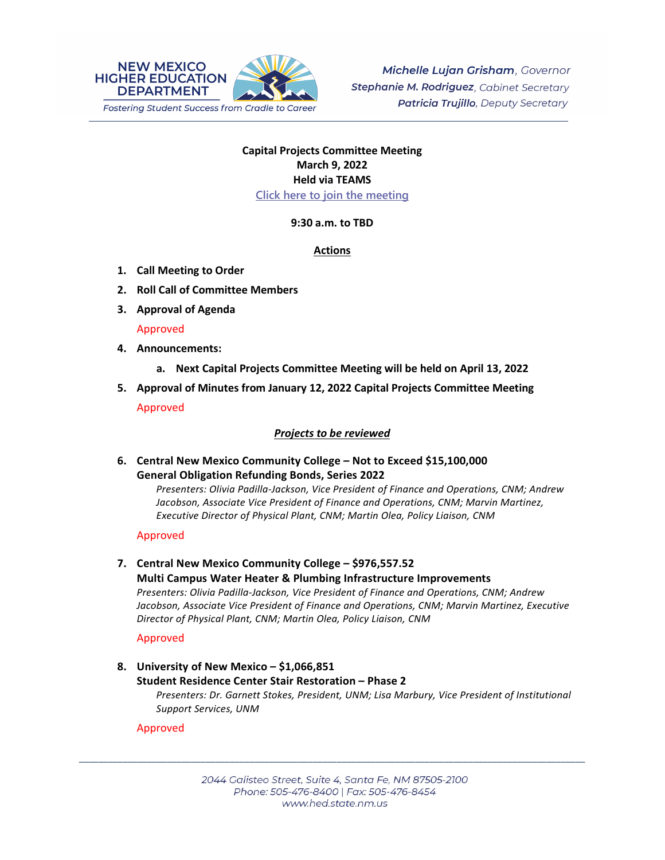

# **Capital Projects Committee Meeting March 9, 2022 Held via TEAMS [Click here to join the meeting](https://teams.microsoft.com/l/meetup-join/19%3ameeting_OWQ2YWRkMDUtNTU3Mi00NjUxLTk1OGItOGNlZDdhNjAzZThi%40thread.v2/0?context=%7b%22Tid%22%3a%2204aa6bf4-d436-426f-bfa4-04b7a70e60ff%22%2c%22Oid%22%3a%222844ecea-db84-4cd8-97b7-9d410f1aa07b%22%7d)**

## **9:30 a.m. to TBD**

## **Actions**

- **1. Call Meeting to Order**
- **2. Roll Call of Committee Members**
- **3. Approval of Agenda**

## Approved

- **4. Announcements:**
	- **a. Next Capital Projects Committee Meeting will be held on April 13, 2022**
- **5. Approval of Minutes from January 12, 2022 Capital Projects Committee Meeting** Approved

# *Projects to be reviewed*

**6. Central New Mexico Community College – Not to Exceed \$15,100,000 General Obligation Refunding Bonds, Series 2022**

> *Presenters: Olivia Padilla-Jackson, Vice President of Finance and Operations, CNM; Andrew Jacobson, Associate Vice President of Finance and Operations, CNM; Marvin Martinez, Executive Director of Physical Plant, CNM; Martin Olea, Policy Liaison, CNM*

## Approved

# **7. Central New Mexico Community College – \$976,557.52**

**Multi Campus Water Heater & Plumbing Infrastructure Improvements** *Presenters: Olivia Padilla-Jackson, Vice President of Finance and Operations, CNM; Andrew Jacobson, Associate Vice President of Finance and Operations, CNM; Marvin Martinez, Executive Director of Physical Plant, CNM; Martin Olea, Policy Liaison, CNM*

Approved

**8. University of New Mexico – \$1,066,851 Student Residence Center Stair Restoration – Phase 2** *Presenters: Dr. Garnett Stokes, President, UNM; Lisa Marbury, Vice President of Institutional Support Services, UNM*

# Approved

\_\_\_\_\_\_\_\_\_\_\_\_\_\_\_\_\_\_\_\_\_\_\_\_\_\_\_\_\_\_\_\_\_\_\_\_\_\_\_\_\_\_\_\_\_\_\_\_\_\_\_\_\_\_\_\_\_\_\_\_\_\_\_\_\_\_\_\_\_\_\_\_\_\_\_\_\_\_\_\_\_\_\_\_\_\_\_\_\_\_\_\_\_\_\_\_\_\_\_\_\_\_\_\_